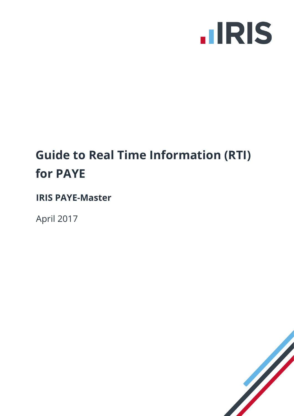

### **Guide to Real Time Information (RTI) for PAYE**

**IRIS PAYE-Master**

April 2017

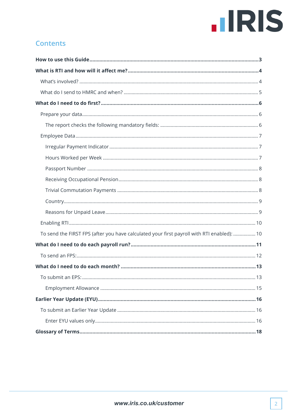# **IIRIS**

#### <span id="page-1-0"></span>**Contents**

| To send the FIRST FPS (after you have calculated your first payroll with RTI enabled):  10 |
|--------------------------------------------------------------------------------------------|
|                                                                                            |
|                                                                                            |
|                                                                                            |
|                                                                                            |
|                                                                                            |
|                                                                                            |
|                                                                                            |
|                                                                                            |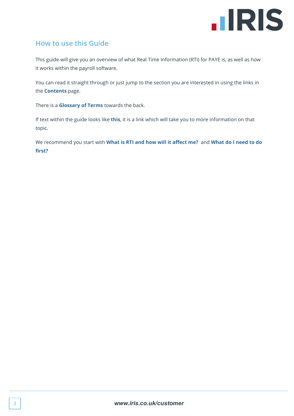

#### <span id="page-2-0"></span>**How to use this Guide**

This guide will give you an overview of what Real Time Information (RTI) for PAYE is, as well as how it works within the payroll software.

You can read it straight through or just jump to the section you are interested in using the links in the **[Contents](#page-1-0)** page.

There is a **[Glossary of Terms](#page-17-0)** towards the back.

If text within the guide looks like **this**, it is a link which will take you to more information on that topic.

We recommend you start with **[What is RTI and how will it affect me?](#page-3-0)** and **[What do I need to do](#page-5-0)  [first?](#page-5-0)**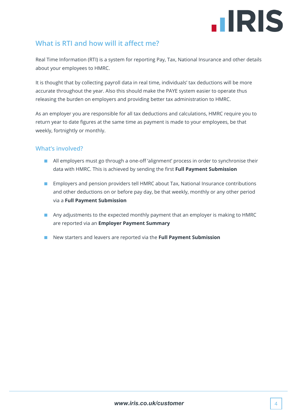## **.IRIS**

#### <span id="page-3-0"></span>**What is RTI and how will it affect me?**

Real Time Information (RTI) is a system for reporting Pay, Tax, National Insurance and other details about your employees to HMRC.

It is thought that by collecting payroll data in real time, individuals' tax deductions will be more accurate throughout the year. Also this should make the PAYE system easier to operate thus releasing the burden on employers and providing better tax administration to HMRC.

As an employer you are responsible for all tax deductions and calculations, HMRC require you to return year to date figures at the same time as payment is made to your employees, be that weekly, fortnightly or monthly.

#### <span id="page-3-1"></span>**What's involved?**

- All employers must go through a one-off 'alignment' process in order to synchronise their data with HMRC. This is achieved by sending the first **Full Payment Submission**
- Employers and pension providers tell HMRC about Tax, National Insurance contributions and other deductions on or before pay day, be that weekly, monthly or any other period via a **Full Payment Submission**
- Any adjustments to the expected monthly payment that an employer is making to HMRC are reported via an **Employer Payment Summary**
- New starters and leavers are reported via the **Full Payment Submission**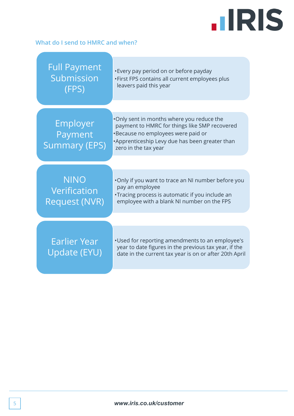### **IIRIS**

#### <span id="page-4-0"></span>**What do I send to HMRC and when?**

| <b>Full Payment</b><br>Submission<br>(FPS)          | •Every pay period on or before payday<br>. First FPS contains all current employees plus<br>leavers paid this year                                                                                          |
|-----------------------------------------------------|-------------------------------------------------------------------------------------------------------------------------------------------------------------------------------------------------------------|
| Employer<br>Payment<br><b>Summary (EPS)</b>         | . Only sent in months where you reduce the<br>payment to HMRC for things like SMP recovered<br>•Because no employees were paid or<br>•Apprenticeship Levy due has been greater than<br>zero in the tax year |
| <b>NINO</b><br>Verification<br><b>Request (NVR)</b> | . Only if you want to trace an NI number before you<br>pay an employee<br>•Tracing process is automatic if you include an<br>employee with a blank NI number on the FPS                                     |
| Earlier Year<br>Update (EYU)                        | . Used for reporting amendments to an employee's<br>year to date figures in the previous tax year, if the<br>date in the current tax year is on or after 20th April                                         |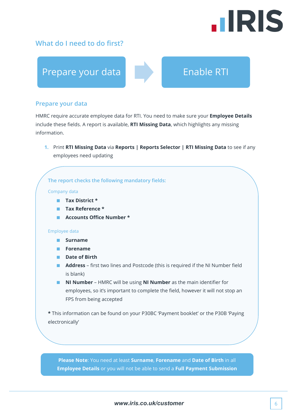## **.IRIS**

#### <span id="page-5-0"></span>**What do I need to do first?**



#### <span id="page-5-1"></span>**Prepare your data**

HMRC require accurate employee data for RTI. You need to make sure your **Employee Details** include these fields. A report is available, **RTI Missing Data**, which highlights any missing information.

**1.** Print **RTI Missing Data** via **Reports | Reports Selector | RTI Missing Data** to see if any employees need updating

**The report checks the following mandatory fields:**

#### Company data

- **Tax District \***
- **Tax Reference \***
- **Accounts Office Number \***

#### Employee data

- **Surname**
- **Forename**
- **Date of Birth**
- **Address** first two lines and Postcode (this is required if the NI Number field is blank)
- **NI Number** HMRC will be using **NI Number** as the main identifier for employees, so it's important to complete the field, however it will not stop an FPS from being accepted

**\*** This information can be found on your P30BC 'Payment booklet' or the P30B 'Paying electronically'

**Please Note**: You need at least **Surname**, **Forename** and **Date of Birth** in all **Employee Details** or you will not be able to send a **Full Payment Submission**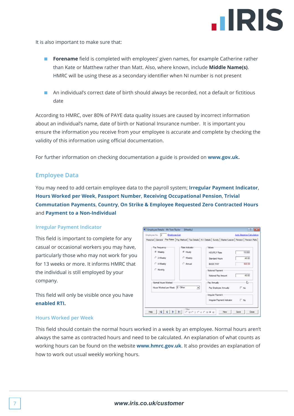

It is also important to make sure that:

- **Forename** field is completed with employees' given names, for example Catherine rather than Kate or Matthew rather than Matt. Also, where known, include **Middle Name(s)**. HMRC will be using these as a secondary identifier when NI number is not present
- An individual's correct date of birth should always be recorded, not a default or fictitious date

According to HMRC, over 80% of PAYE data quality issues are caused by incorrect information about an individual's name, date of birth or National Insurance number. It is important you ensure the information you receive from your employee is accurate and complete by checking the validity of this information using official documentation.

<span id="page-6-0"></span>For further information on checking documentation a guide is provided on **[www.gov.uk.](http://www.gov.uk/)**

#### **Employee Data**

You may need to add certain employee data to the payroll system; **[Irregular Payment Indicator](#page-6-1)**, **[Hours Worked per Week](#page-6-2)**, **[Passport Number](#page-7-0)**, **[Receiving Occupational Pension](#page-7-1)**, **[Trivial](#page-7-2)  [Commutation Payments](#page-7-2)**, **[Country](#page-8-0)**, **[On Strike & Employee Requested Zero Contracted Hours](#page-8-2)** and **[Payment to a Non-Individual](#page-8-3)**

#### **Irregular Payment Indicator**

<span id="page-6-1"></span>This field is important to complete for any casual or occasional workers you may have, particularly those who may not work for you for 13 weeks or more. It informs HMRC that the individual is still employed by your company.

This field will only be visible once you have **[enabled RTI.](#page-9-0)**

|                                 |                | Personal   General Pay Rates   Pay Method   Tax Details   N.I. Details   Sundry   Starter/Leaver   Pension   Pension Refs |            |
|---------------------------------|----------------|---------------------------------------------------------------------------------------------------------------------------|------------|
|                                 | Rate Indicator | Values                                                                                                                    |            |
| Pay Frequency<br>← Weekly       | G Hourly       |                                                                                                                           |            |
|                                 |                | <b>HOURLY Rate</b>                                                                                                        | 15,000     |
| C 2-Weekly                      | C Weekly       | <b>Standard Hours</b>                                                                                                     | 40.00      |
| C 4-Weekly                      | C Annual       | <b>RASIC PAY</b>                                                                                                          | 600.00     |
| C Monthly                       |                | Notional Payment                                                                                                          |            |
|                                 |                | Notional Pay Amount                                                                                                       | 40.00      |
| - Normal Hours Worked           |                | Pay Annually                                                                                                              | ↳          |
| Hours Worked per Week E - Other | $\overline{ }$ | Pay Employee Annually                                                                                                     | $\Box$ No  |
|                                 |                | <b>Irregular Payment</b>                                                                                                  |            |
|                                 |                | Irregular Payment Indicator                                                                                               | $\Box$ No. |

#### <span id="page-6-2"></span>**Hours Worked per Week**

This field should contain the normal hours worked in a week by an employee. Normal hours aren't always the same as contracted hours and need to be calculated. An explanation of what counts as working hours can be found on the website **[www.hmrc.gov.uk](http://www.hmrc.gov.uk/taxcredits/start/claiming/income-hours/work-out-hours.htm#2)**. It also provides an explanation of how to work out usual weekly working hours.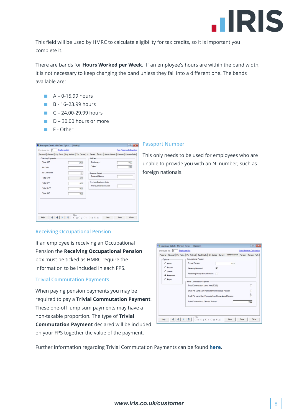

This field will be used by HMRC to calculate eligibility for tax credits, so it is important you complete it.

There are bands for **Hours Worked per Week**. If an employee's hours are within the band width, it is not necessary to keep changing the band unless they fall into a different one. The bands available are:

- $A 0.15.99$  hours
- B 16-23.99 hours
- $C 24.00 29.99$  hours
- D 30.00 hours or more
- E Other

| Statutory Payments |  |                      | Holiday          |                                                  |  |      |
|--------------------|--|----------------------|------------------|--------------------------------------------------|--|------|
| <b>Total SSP</b>   |  | b.00                 | Entitlement      |                                                  |  | 0.00 |
| <b>Ex Code</b>     |  |                      | Taken            |                                                  |  | 0.00 |
| Ex Code Date       |  | $\blacktriangledown$ | Passport Details |                                                  |  |      |
| <b>Total SMP</b>   |  | 0.00                 |                  | Passport Number                                  |  |      |
| <b>Total SPP</b>   |  | 0.00                 |                  | Previous Employee Code<br>Previous Employee Code |  |      |
| <b>Total ShPP</b>  |  | 0.00                 |                  |                                                  |  |      |
| <b>Total SAP</b>   |  | 0.00                 |                  |                                                  |  |      |
|                    |  |                      |                  |                                                  |  |      |
|                    |  |                      |                  |                                                  |  |      |

#### **Passport Number**

<span id="page-7-0"></span>This only needs to be used for employees who are unable to provide you with an NI number, such as foreign nationals.

#### <span id="page-7-1"></span>**Receiving Occupational Pension**

If an employee is receiving an Occupational Pension the **Receiving Occupational Pension**  box must be ticked as HMRC require the information to be included in each FPS.

#### <span id="page-7-2"></span>**Trivial Commutation Payments**

When paying pension payments you may be required to pay a **Trivial Commutation Payment**. These one-off lump sum payments may have a non-taxable proportion. The type of **Trivial Commutation Payment** declared will be included on your FPS together the value of the payment.

| п    |
|------|
|      |
|      |
| 0.00 |
|      |
|      |
|      |

Further information regarding Trivial Commutation Payments can be found **[here](https://www.gov.uk/guidance/paying-a-company-pension-or-annuity-through-your-payroll#1)**.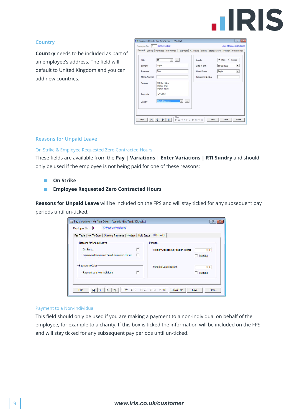

#### **Country**

<span id="page-8-0"></span>**Country** needs to be included as part of an employee's address. The field will default to United Kingdom and you can add new countries.

| Title          | $\sim$<br>Mr<br>$\mathbf{r}$                                      | Gender                | C Female<br>$\odot$ Male           |
|----------------|-------------------------------------------------------------------|-----------------------|------------------------------------|
| Sumame         | Taylor                                                            | Date of Birth         | 11/08/1989<br>$\blacktriangledown$ |
| Forename       | Tom                                                               | <b>Marital Status</b> | Single<br>$\overline{\phantom{a}}$ |
| Middle Name(s) |                                                                   | Telephone Number      |                                    |
| Address        | 98 The Riding<br>Market Way<br>Market Town                        |                       |                                    |
| Postcode       | MT9 8DF                                                           |                       |                                    |
| Country        | <b>United Kingdom</b><br>$\overline{\phantom{a}}$<br>$\mathbf{v}$ |                       |                                    |

#### <span id="page-8-1"></span>**Reasons for Unpaid Leave**

#### <span id="page-8-2"></span>On Strike & Employee Requested Zero Contracted Hours

These fields are available from the **Pay | Variations | Enter Variations | RTI Sundry** and should only be used if the employee is not being paid for one of these reasons:

- **On Strike**
- **Employee Requested Zero Contracted Hours**

**Reasons for Unpaid Leave** will be included on the FPS and will stay ticked for any subsequent pay periods until un-ticked.

| Reasons for Unpaid Leave                              |        | Pension                                  |                          |
|-------------------------------------------------------|--------|------------------------------------------|--------------------------|
| On Strike<br>Employee Requested Zero Contracted Hours | г<br>п | <b>Flexibly Accessing Pension Rights</b> | 0.00<br>$\Gamma$ Taxable |
| - Payment to Other<br>Payment to a Non-Individual     | г      | <b>Pension Death Benefit</b>             | 0.00<br>$\Box$ Taxable   |

#### <span id="page-8-3"></span>Payment to a Non-Individual

This field should only be used if you are making a payment to a non-individual on behalf of the employee, for example to a charity. If this box is ticked the information will be included on the FPS and will stay ticked for any subsequent pay periods until un-ticked.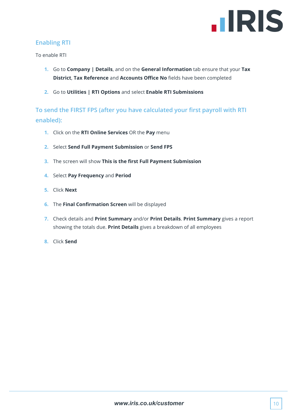

#### <span id="page-9-0"></span>**Enabling RTI**

To enable RTI

- **1.** Go to **Company | Details**, and on the **General Information** tab ensure that your **Tax District**, **Tax Reference** and **Accounts Office No** fields have been completed
- **2.** Go to **Utilities | RTI Options** and select **Enable RTI Submissions**

<span id="page-9-1"></span>**To send the FIRST FPS (after you have calculated your first payroll with RTI enabled):**

- **1.** Click on the **RTI Online Services** OR the **Pay** menu
- **2.** Select **Send Full Payment Submission** or **Send FPS**
- **3.** The screen will show **This is the first Full Payment Submission**
- **4.** Select **Pay Frequency** and **Period**
- **5.** Click **Next**
- **6.** The **Final Confirmation Screen** will be displayed
- **7.** Check details and **Print Summary** and/or **Print Details**. **Print Summary** gives a report showing the totals due. **Print Details** gives a breakdown of all employees
- **8.** Click **Send**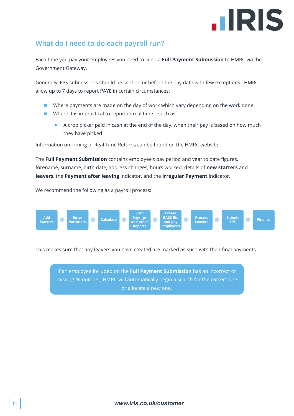### **.IRIS**

#### <span id="page-10-0"></span>**What do I need to do each payroll run?**

Each time you pay your employees you need to send a **Full Payment Submission** to HMRC via the Government Gateway.

Generally, FPS submissions should be sent on or before the pay date with few exceptions. HMRC allow up to 7 days to report PAYE in certain circumstances:

- Where payments are made on the day of work which vary depending on the work done
- Where it is impractical to report in real time such as:
	- A crop picker paid in cash at the end of the day, when their pay is based on how much they have picked

Information on Timing of Real Time Returns can be found on the HMRC website.

The **Full Payment Submission** contains employee's pay period and year to date figures, forename, surname, birth date, address changes, hours worked, details of **new starters** and **leavers**, the **Payment after leaving** indicator, and the **Irregular Payment** indicator.

We recommend the following as a payroll process:



This makes sure that any leavers you have created are marked as such with their final payments.

If an employee included on the **Full Payment Submission** has an incorrect or missing NI number, HMRC will automatically begin a search for the correct one or allocate a new one.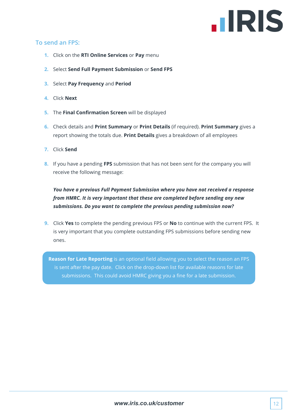### **HRIS**

#### <span id="page-11-0"></span>**To send an FPS:**

- **1.** Click on the **RTI Online Services** or **Pay** menu
- **2.** Select **Send Full Payment Submission** or **Send FPS**
- **3.** Select **Pay Frequency** and **Period**
- **4.** Click **Next**
- **5.** The **Final Confirmation Screen** will be displayed
- **6.** Check details and **Print Summary** or **Print Details** (if required). **Print Summary** gives a report showing the totals due. **Print Details** gives a breakdown of all employees
- **7.** Click **Send**
- **8.** If you have a pending **FPS** submission that has not been sent for the company you will receive the following message:

*You have a previous Full Payment Submission where you have not received a response from HMRC. It is very important that these are completed before sending any new submissions. Do you want to complete the previous pending submission now?*

**9.** Click **Yes** to complete the pending previous FPS or **No** to continue with the current FPS. It is very important that you complete outstanding FPS submissions before sending new ones.

**Reason for Late Reporting** is an optional field allowing you to select the reason an FPS is sent after the pay date. Click on the drop-down list for available reasons for late submissions. This could avoid HMRC giving you a fine for a late submission.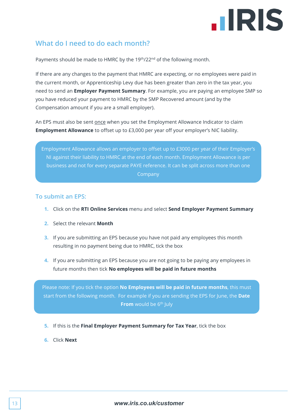

#### <span id="page-12-0"></span>**What do I need to do each month?**

Payments should be made to HMRC by the 19<sup>th</sup>/22<sup>nd</sup> of the following month.

If there are any changes to the payment that HMRC are expecting, or no employees were paid in the current month, or Apprenticeship Levy due has been greater than zero in the tax year, you need to send an **Employer Payment Summary**. For example, you are paying an employee SMP so you have reduced your payment to HMRC by the SMP Recovered amount (and by the Compensation amount if you are a small employer).

An EPS must also be sent once when you set the Employment Allowance Indicator to claim **Employment Allowance** to offset up to £3,000 per year off your employer's NIC liability.

Employment Allowance allows an employer to offset up to £3000 per year of their Employer's NI against their liability to HMRC at the end of each month. Employment Allowance is per business and not for every separate PAYE reference. It can be split across more than one **Company** 

#### <span id="page-12-1"></span>**To submit an EPS:**

- **1.** Click on the **RTI Online Services** menu and select **Send Employer Payment Summary**
- **2.** Select the relevant **Month**
- **3.** If you are submitting an EPS because you have not paid any employees this month resulting in no payment being due to HMRC, tick the box
- **4.** If you are submitting an EPS because you are not going to be paying any employees in future months then tick **No employees will be paid in future months**

Please note: If you tick the option **No Employees will be paid in future months**, this must start from the following month. For example if you are sending the EPS for June, the **Date From** would be 6<sup>th</sup> July

- **5.** If this is the **Final Employer Payment Summary for Tax Year**, tick the box
- **6.** Click **Next**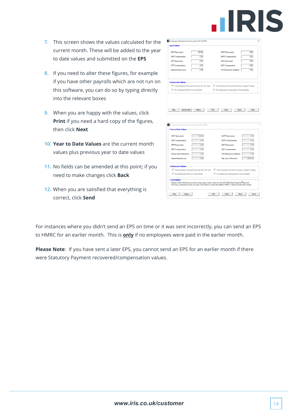

- **7.** This screen shows the values calculated for the current month. These will be added to the year to date values and submitted on the **EPS**
- **8.** If you need to alter these figures, for example if you have other payrolls which are not run on this software, you can do so by typing directly into the relevant boxes
- **9.** When you are happy with the values, click **Print** if you need a hard copy of the figures, then click **Next**
- **10. Year to Date Values** are the current month values plus previous year to date values
- **11.** No fields can be amended at this point; if you need to make changes click **Back**
- **12.** When you are satisfied that everything is correct, click **Send**

| <b>SMP Recovered</b>                        | 164.00 | ShPP Recovered                                | 0.00 |
|---------------------------------------------|--------|-----------------------------------------------|------|
| <b>SMP</b> Compensation                     | 0.00   | ShPP Compensation                             | 0.00 |
| <b>SPP Recovered</b>                        | 0.00   | SAP Recovered                                 | 0.00 |
| SPP Compensation                            | 0.00   | SAP Compensation                              | 0.00 |
| Apprenticeship Levy                         | 0.00   | <b>CIS Deductions Suffered</b>                | 0.00 |
| <b>Submission Options</b>                   |        |                                               |      |
| Final Employer Payment Summary for Tax Year |        | Final Employer Payment Summary Ceased Trading |      |
| No Employees Paid In Current Month          |        | No Employees will be paid in Future Months    |      |

| SMP Recovered                                                   | 164.00 | ShPP Recovered                                                                                                                                                                                                    | 0.00     |
|-----------------------------------------------------------------|--------|-------------------------------------------------------------------------------------------------------------------------------------------------------------------------------------------------------------------|----------|
| SMP Compensation                                                | 0.00   | ShPP Compensation                                                                                                                                                                                                 | 0.00     |
| SPP Recovered                                                   | 0.00   | SAP Recovered                                                                                                                                                                                                     | 0.00     |
| SPP Compensation                                                | 0.00   | SAP Compensation                                                                                                                                                                                                  | 0.00     |
| <b>Employment Allowance</b>                                     | 0.00   | <b>CIS Deductions Suffered</b>                                                                                                                                                                                    | 0.00     |
| Apprenticeship Levy                                             | 0.00   | App. Levy Allowance                                                                                                                                                                                               | 15000.00 |
| <b>Submission Options</b><br>No Employees Paid In Current Month |        | Final Employer Payment Summary for Tax Year Final Employer Payment Summary Ceased Trading<br>No Employees will be paid in Future Months                                                                           |          |
| Confirmation                                                    |        | Please confirm that these are the correct year to date values for the 2017/2018 April Employer Payment<br>Summary submission to the Live site. Click Send to submit the data to HMRC or back to amend the values. |          |

For instances where you didn't send an EPS on time or it was sent incorrectly, you can send an EPS to HMRC for an earlier month. This is **only** if no employees were paid in the earlier month.

**Please Note**: If you have sent a later EPS, you cannot send an EPS for an earlier month if there were Statutory Payment recovered/compensation values.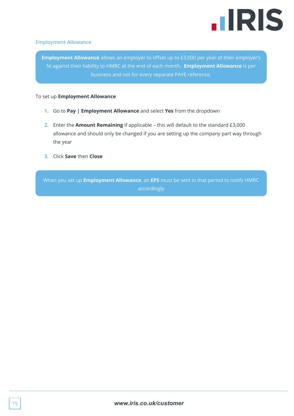

#### <span id="page-14-0"></span>**Employment Allowance**

**Employment Allowance** allows an employer to offset up to £3,000 per year of their employer's NI against their liability to HMRC at the end of each month. **Employment Allowance** is per business and not for every separate PAYE reference.

#### To set up **Employment Allowance**

- **1.** Go to **Pay | Employment Allowance** and select **Yes** from the dropdown
- **2.** Enter the **Amount Remaining** if applicable this will default to the standard £3,000 allowance and should only be changed if you are setting up the company part way through the year
- **3.** Click **Save** then **Close**

When you set up **Employment Allowance**, an **EPS** must be sent in that period to notify HMRC accordingly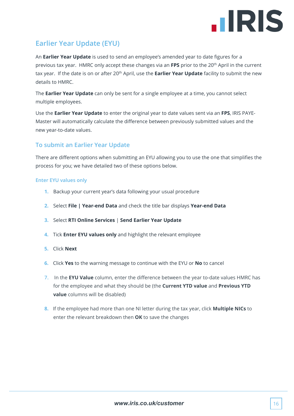

#### <span id="page-15-0"></span>**Earlier Year Update (EYU)**

An **Earlier Year Update** is used to send an employee's amended year to date figures for a previous tax year. HMRC only accept these changes via an **FPS** prior to the 20th April in the current tax year. If the date is on or after 20<sup>th</sup> April, use the **Earlier Year Update** facility to submit the new details to HMRC.

The **Earlier Year Update** can only be sent for a single employee at a time, you cannot select multiple employees.

Use the **Earlier Year Update** to enter the original year to date values sent via an **FPS**, IRIS PAYE-Master will automatically calculate the difference between previously submitted values and the new year-to-date values.

#### <span id="page-15-1"></span>**To submit an Earlier Year Update**

There are different options when submitting an EYU allowing you to use the one that simplifies the process for you; we have detailed two of these options below.

#### <span id="page-15-2"></span>**Enter EYU values only**

- **1.** Backup your current year's data following your usual procedure
- **2.** Select **File | Year-end Data** and check the title bar displays **Year-end Data**
- **3.** Select **RTI Online Services** | **Send Earlier Year Update**
- **4.** Tick **Enter EYU values only** and highlight the relevant employee
- **5.** Click **Next**
- **6.** Click **Yes** to the warning message to continue with the EYU or **No** to cancel
- **7.** In the **EYU Value** column, enter the difference between the year to-date values HMRC has for the employee and what they should be (the **Current YTD value** and **Previous YTD value** columns will be disabled)
- **8.** If the employee had more than one NI letter during the tax year, click **Multiple NICs** to enter the relevant breakdown then **OK** to save the changes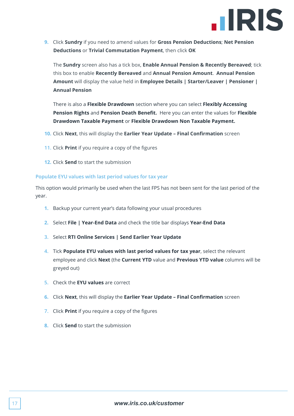

**9.** Click **Sundry** if you need to amend values for **Gross Pension Deductions**; **Net Pension Deductions** or **Trivial Commutation Payment**, then click **OK**

The **Sundry** screen also has a tick box, **Enable Annual Pension & Recently Bereaved**; tick this box to enable **Recently Bereaved** and **Annual Pension Amount**. **Annual Pension Amount** will display the value held in **Employee Details | Starter/Leaver | Pensioner | Annual Pension**

There is also a **Flexible Drawdown** section where you can select **Flexibly Accessing Pension Rights** and **Pension Death Benefit.** Here you can enter the values for **Flexible Drawdown Taxable Payment** or **Flexible Drawdown Non Taxable Payment.**

- **10.** Click **Next**, this will display the **Earlier Year Update – Final Confirmation** screen
- **11.** Click **Print** if you require a copy of the figures
- **12.** Click **Send** to start the submission

#### **Populate EYU values with last period values for tax year**

This option would primarily be used when the last FPS has not been sent for the last period of the year.

- **1.** Backup your current year's data following your usual procedures
- **2.** Select **File | Year-End Data** and check the title bar displays **Year-End Data**
- **3.** Select **RTI Online Services | Send Earlier Year Update**
- **4.** Tick **Populate EYU values with last period values for tax year**, select the relevant employee and click **Next** (the **Current YTD** value and **Previous YTD value** columns will be greyed out)
- **5.** Check the **EYU values** are correct
- **6.** Click **Next**, this will display the **Earlier Year Update – Final Confirmation** screen
- **7.** Click **Print** if you require a copy of the figures
- **8.** Click **Send** to start the submission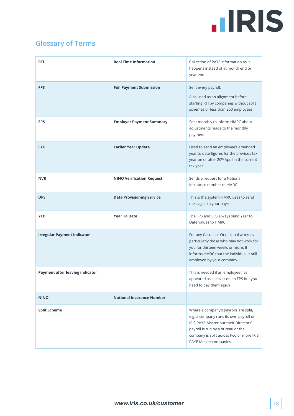### **IIRIS**

### <span id="page-17-0"></span>**Glossary of Terms**

| <b>RTI</b>                         | <b>Real Time Information</b>     | Collection of PAYE information as it<br>happens instead of at month end or<br>year end                                                                                                                                             |
|------------------------------------|----------------------------------|------------------------------------------------------------------------------------------------------------------------------------------------------------------------------------------------------------------------------------|
| <b>FPS</b>                         | <b>Full Payment Submission</b>   | Sent every payroll.<br>Also used as an alignment before<br>starting RTI by companies without split<br>schemes or less than 250 employees                                                                                           |
| <b>EPS</b>                         | <b>Employer Payment Summary</b>  | Sent monthly to inform HMRC about<br>adjustments made to the monthly<br>payment                                                                                                                                                    |
| <b>EYU</b>                         | <b>Earlier Year Update</b>       | Used to send an employee's amended<br>year to date figures for the previous tax<br>year on or after 20 <sup>th</sup> April in the current<br>tax year                                                                              |
| <b>NVR</b>                         | <b>NINO Verification Request</b> | Sends a request for a National<br>Insurance number to HMRC                                                                                                                                                                         |
| <b>DPS</b>                         | <b>Data Provisioning Service</b> | This is the system HMRC uses to send<br>messages to your payroll                                                                                                                                                                   |
| <b>YTD</b>                         | <b>Year To Date</b>              | The FPS and EPS always send Year to<br>Date values to HMRC                                                                                                                                                                         |
| <b>Irregular Payment indicator</b> |                                  | For any Casual or Occasional workers,<br>particularly those who may not work for<br>you for thirteen weeks or more. It<br>informs HMRC that the individual is still<br>employed by your company                                    |
| Payment after leaving indicator    |                                  | This is needed if an employee has<br>appeared as a leaver on an FPS but you<br>need to pay them again                                                                                                                              |
| <b>NINO</b>                        | <b>National Insurance Number</b> |                                                                                                                                                                                                                                    |
| <b>Split Scheme</b>                |                                  | Where a company's payrolls are split,<br>e.g. a company runs its own payroll on<br>IRIS PAYE-Master but their Directors'<br>payroll is run by a bureau or the<br>company is split across two or more IRIS<br>PAYE-Master companies |